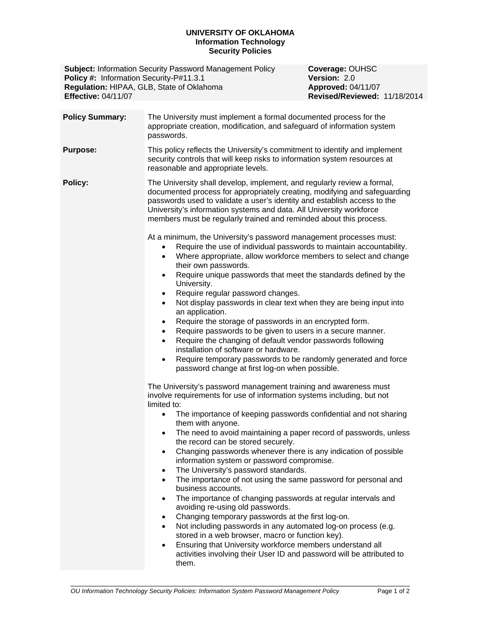## **UNIVERSITY OF OKLAHOMA Information Technology Security Policies**

**Subject:** Information Security Password Management Policy **Coverage: OUHSC**<br> **Policy #:** Information Security-P#11.3.1 **Yersion:** 2.0 **Policy #: Information Security-P#11.3.1 Regulation: HIPAA, GLB, State of Oklahoma <b>Approved:** 04/11/07 **Effective:** 04/11/07 **Revised/Reviewed:** 11/18/2014

**Policy Summary:** The University must implement a formal documented process for the appropriate creation, modification, and safeguard of information system passwords. **Purpose:** This policy reflects the University's commitment to identify and implement security controls that will keep risks to information system resources at reasonable and appropriate levels. **Policy:** The University shall develop, implement, and regularly review a formal, documented process for appropriately creating, modifying and safeguarding passwords used to validate a user's identity and establish access to the University's information systems and data. All University workforce members must be regularly trained and reminded about this process. At a minimum, the University's password management processes must: Require the use of individual passwords to maintain accountability. Where appropriate, allow workforce members to select and change their own passwords. • Require unique passwords that meet the standards defined by the University. • Require regular password changes. Not display passwords in clear text when they are being input into an application. • Require the storage of passwords in an encrypted form. Require passwords to be given to users in a secure manner. Require the changing of default vendor passwords following installation of software or hardware. Require temporary passwords to be randomly generated and force password change at first log-on when possible. The University's password management training and awareness must involve requirements for use of information systems including, but not limited to: The importance of keeping passwords confidential and not sharing them with anyone. • The need to avoid maintaining a paper record of passwords, unless the record can be stored securely. Changing passwords whenever there is any indication of possible information system or password compromise. • The University's password standards. The importance of not using the same password for personal and business accounts. • The importance of changing passwords at regular intervals and avoiding re-using old passwords. Changing temporary passwords at the first log-on. Not including passwords in any automated log-on process (e.g. stored in a web browser, macro or function key). Ensuring that University workforce members understand all activities involving their User ID and password will be attributed to them.

\_\_\_\_\_\_\_\_\_\_\_\_\_\_\_\_\_\_\_\_\_\_\_\_\_\_\_\_\_\_\_\_\_\_\_\_\_\_\_\_\_\_\_\_\_\_\_\_\_\_\_\_\_\_\_\_\_\_\_\_\_\_\_\_\_\_\_\_\_\_\_\_